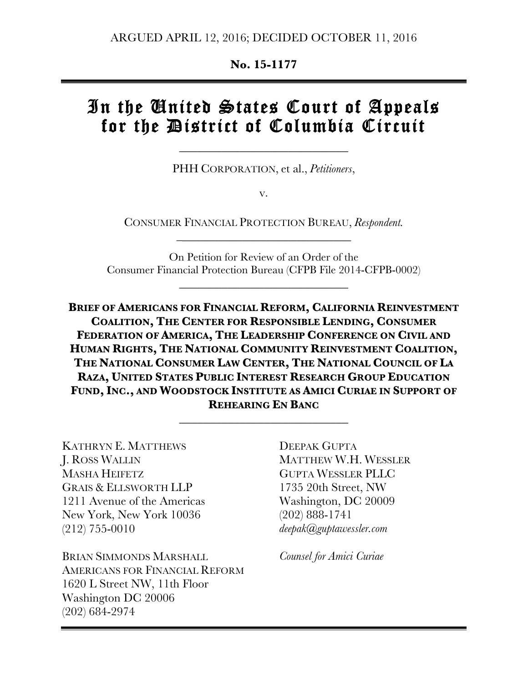**No. 15-1177**

# In the United States Court of Appeals for the District of Columbia Circuit

PHH CORPORATION, et al., *Petitioners*,

\_\_\_\_\_\_\_\_\_\_\_\_\_\_\_\_\_\_\_\_\_\_\_\_\_\_\_\_

v.

CONSUMER FINANCIAL PROTECTION BUREAU, *Respondent.*  $\frac{1}{2}$  , and the set of the set of the set of the set of the set of the set of the set of the set of the set of the set of the set of the set of the set of the set of the set of the set of the set of the set of the set

On Petition for Review of an Order of the Consumer Financial Protection Bureau (CFPB File 2014-CFPB-0002)

\_\_\_\_\_\_\_\_\_\_\_\_\_\_\_\_\_\_\_\_\_\_\_\_\_\_\_\_

**BRIEF OF AMERICANS FOR FINANCIAL REFORM, CALIFORNIA REINVESTMENT COALITION, THE CENTER FOR RESPONSIBLE LENDING, CONSUMER FEDERATION OF AMERICA, THE LEADERSHIP CONFERENCE ON CIVIL AND HUMAN RIGHTS, THE NATIONAL COMMUNITY REINVESTMENT COALITION, THE NATIONAL CONSUMER LAW CENTER, THE NATIONAL COUNCIL OF LA RAZA, UNITED STATES PUBLIC INTEREST RESEARCH GROUP EDUCATION FUND, INC., AND WOODSTOCK INSTITUTE AS AMICI CURIAE IN SUPPORT OF REHEARING EN BANC**

\_\_\_\_\_\_\_\_\_\_\_\_\_\_\_\_\_\_\_\_\_\_\_\_\_\_\_\_

KATHRYN E. MATTHEWS J. ROSS WALLIN MASHA HEIFETZ GRAIS & ELLSWORTH LLP 1211 Avenue of the Americas New York, New York 10036 (212) 755-0010

BRIAN SIMMONDS MARSHALL AMERICANS FOR FINANCIAL REFORM 1620 L Street NW, 11th Floor Washington DC 20006 (202) 684-2974

DEEPAK GUPTA MATTHEW W.H. WESSLER GUPTA WESSLER PLLC 1735 20th Street, NW Washington, DC 20009 (202) 888-1741 *deepak@guptawessler.com*

*Counsel for Amici Curiae*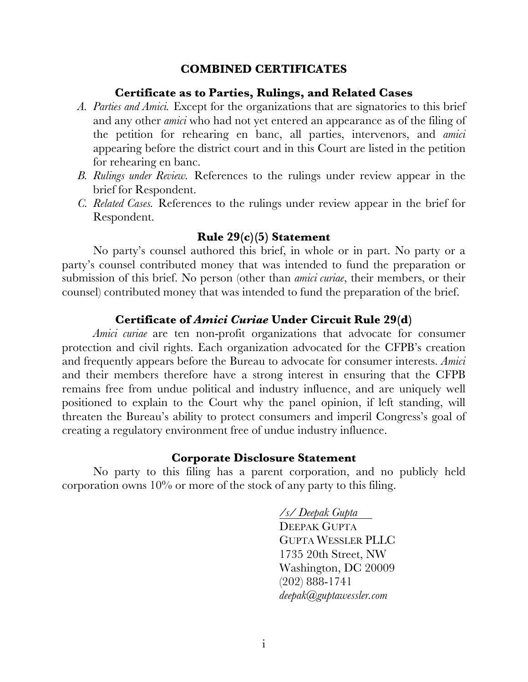### **COMBINED CERTIFICATES**

### **Certificate as to Parties, Rulings, and Related Cases**

- *A. Parties and Amici.* Except for the organizations that are signatories to this brief and any other *amici* who had not yet entered an appearance as of the filing of the petition for rehearing en banc, all parties, intervenors, and *amici* appearing before the district court and in this Court are listed in the petition for rehearing en banc.
- *B. Rulings under Review.* References to the rulings under review appear in the brief for Respondent.
- *C. Related Cases.* References to the rulings under review appear in the brief for Respondent.

### **Rule 29(c)(5) Statement**

No party's counsel authored this brief, in whole or in part. No party or a party's counsel contributed money that was intended to fund the preparation or submission of this brief. No person (other than *amici curiae*, their members, or their counsel) contributed money that was intended to fund the preparation of the brief.

### **Certificate of** *Amici Curiae* **Under Circuit Rule 29(d)**

*Amici curiae* are ten non-profit organizations that advocate for consumer protection and civil rights. Each organization advocated for the CFPB's creation and frequently appears before the Bureau to advocate for consumer interests. *Amici*  and their members therefore have a strong interest in ensuring that the CFPB remains free from undue political and industry influence, and are uniquely well positioned to explain to the Court why the panel opinion, if left standing, will threaten the Bureau's ability to protect consumers and imperil Congress's goal of creating a regulatory environment free of undue industry influence.

#### **Corporate Disclosure Statement**

No party to this filing has a parent corporation, and no publicly held corporation owns  $10\%$  or more of the stock of any party to this filing.

> */s/ Deepak Gupta* DEEPAK GUPTA GUPTA WESSLER PLLC 1735 20th Street, NW Washington, DC 20009 (202) 888-1741 *deepak@guptawessler.com*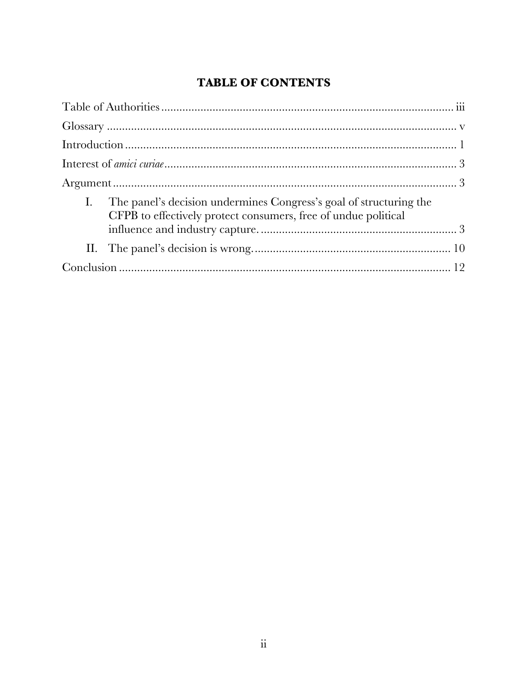# **TABLE OF CONTENTS**

| The panel's decision undermines Congress's goal of structuring the<br>CFPB to effectively protect consumers, free of undue political |  |
|--------------------------------------------------------------------------------------------------------------------------------------|--|
|                                                                                                                                      |  |
|                                                                                                                                      |  |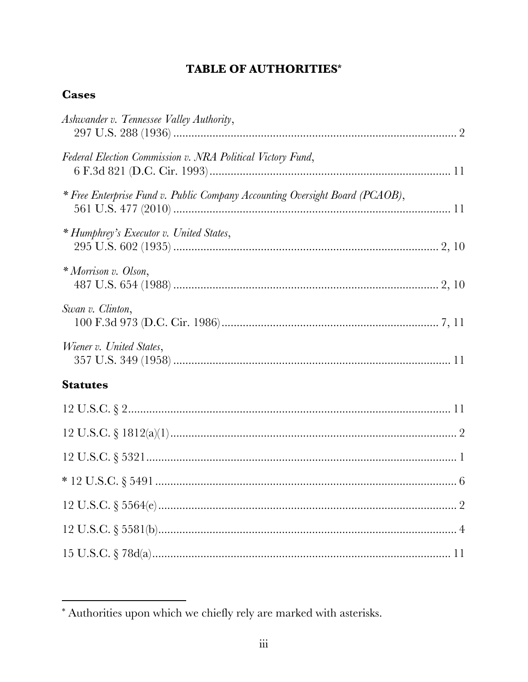# **TABLE OF AUTHORITIES\***

# **Cases**

| Ashwander v. Tennessee Valley Authority,                                     |
|------------------------------------------------------------------------------|
| Federal Election Commission v. NRA Political Victory Fund,                   |
| * Free Enterprise Fund v. Public Company Accounting Oversight Board (PCAOB), |
| * Humphrey's Executor v. United States,                                      |
| * Morrison v. Olson,                                                         |
| Swan v. Clinton,                                                             |
| Wiener v. United States,                                                     |
| <b>Statutes</b>                                                              |
|                                                                              |
|                                                                              |
|                                                                              |
|                                                                              |
|                                                                              |
|                                                                              |
|                                                                              |
|                                                                              |

<sup>\*</sup> Authorities upon which we chiefly rely are marked with asterisks.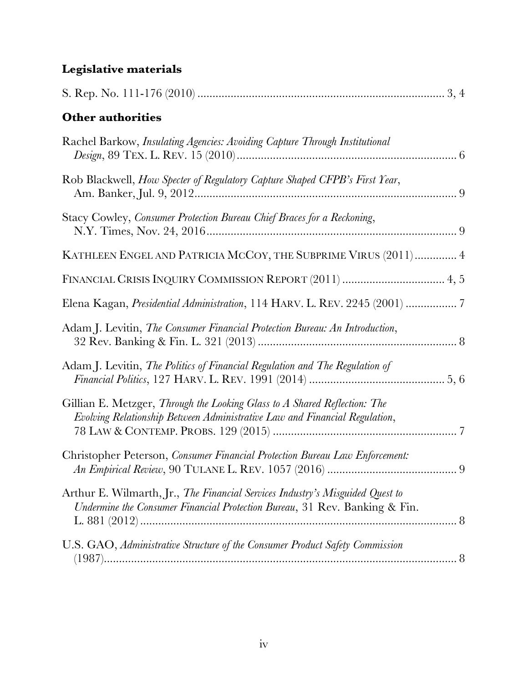# **Legislative materials**

| <b>Other authorities</b>                                                                                                                                    |
|-------------------------------------------------------------------------------------------------------------------------------------------------------------|
| Rachel Barkow, Insulating Agencies: Avoiding Capture Through Institutional                                                                                  |
| Rob Blackwell, How Specter of Regulatory Capture Shaped CFPB's First Year,                                                                                  |
| Stacy Cowley, Consumer Protection Bureau Chief Braces for a Reckoning,                                                                                      |
| KATHLEEN ENGEL AND PATRICIA MCCOY, THE SUBPRIME VIRUS (2011)  4                                                                                             |
|                                                                                                                                                             |
| Elena Kagan, Presidential Administration, 114 HARV. L. REV. 2245 (2001)  7                                                                                  |
| Adam J. Levitin, The Consumer Financial Protection Bureau: An Introduction,                                                                                 |
| Adam J. Levitin, The Politics of Financial Regulation and The Regulation of                                                                                 |
| Gillian E. Metzger, Through the Looking Glass to A Shared Reflection: The<br>Evolving Relationship Between Administrative Law and Financial Regulation,     |
| Christopher Peterson, Consumer Financial Protection Bureau Law Enforcement:                                                                                 |
| Arthur E. Wilmarth, Jr., The Financial Services Industry's Misguided Quest to<br>Undermine the Consumer Financial Protection Bureau, 31 Rev. Banking & Fin. |
| U.S. GAO, Administrative Structure of the Consumer Product Safety Commission                                                                                |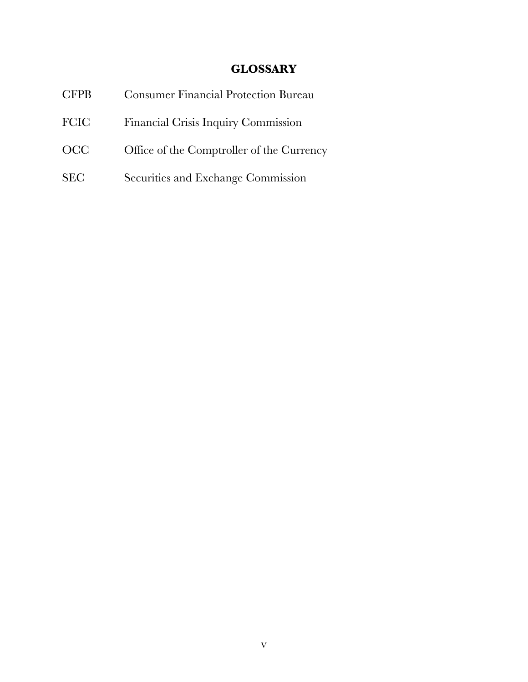# **GLOSSARY**

| <b>CFPB</b> | <b>Consumer Financial Protection Bureau</b> |
|-------------|---------------------------------------------|
| <b>FCIC</b> | Financial Crisis Inquiry Commission         |
| <b>OCC</b>  | Office of the Comptroller of the Currency   |
| <b>SEC</b>  | Securities and Exchange Commission          |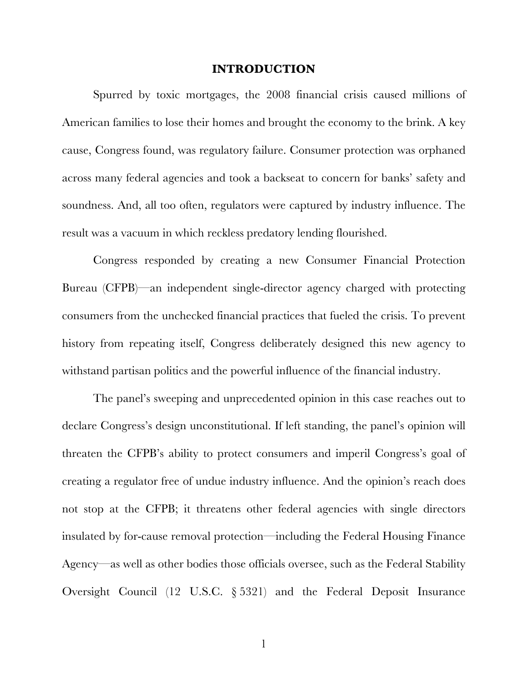#### **INTRODUCTION**

Spurred by toxic mortgages, the 2008 financial crisis caused millions of American families to lose their homes and brought the economy to the brink. A key cause, Congress found, was regulatory failure. Consumer protection was orphaned across many federal agencies and took a backseat to concern for banks' safety and soundness. And, all too often, regulators were captured by industry influence. The result was a vacuum in which reckless predatory lending flourished.

Congress responded by creating a new Consumer Financial Protection Bureau (CFPB)—an independent single-director agency charged with protecting consumers from the unchecked financial practices that fueled the crisis. To prevent history from repeating itself, Congress deliberately designed this new agency to withstand partisan politics and the powerful influence of the financial industry.

The panel's sweeping and unprecedented opinion in this case reaches out to declare Congress's design unconstitutional. If left standing, the panel's opinion will threaten the CFPB's ability to protect consumers and imperil Congress's goal of creating a regulator free of undue industry influence. And the opinion's reach does not stop at the CFPB; it threatens other federal agencies with single directors insulated by for-cause removal protection—including the Federal Housing Finance Agency—as well as other bodies those officials oversee, such as the Federal Stability Oversight Council (12 U.S.C. § 5321) and the Federal Deposit Insurance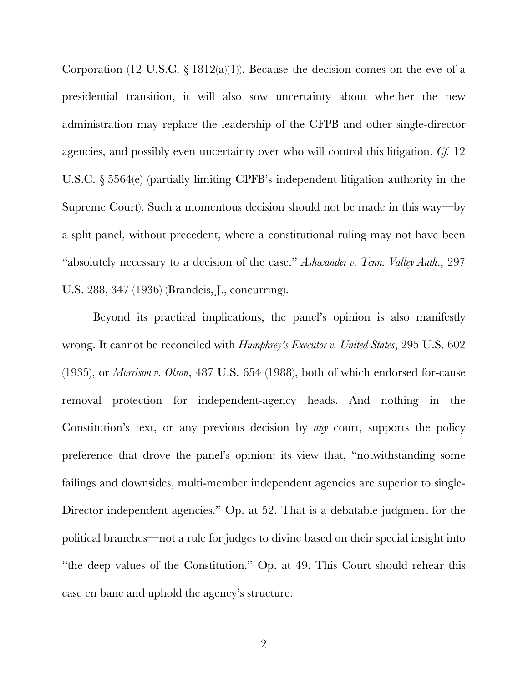Corporation (12 U.S.C.  $\S 1812(a)(1)$ ). Because the decision comes on the eve of a presidential transition, it will also sow uncertainty about whether the new administration may replace the leadership of the CFPB and other single-director agencies, and possibly even uncertainty over who will control this litigation. *Cf.* 12 U.S.C. § 5564(e) (partially limiting CPFB's independent litigation authority in the Supreme Court). Such a momentous decision should not be made in this way—by a split panel, without precedent, where a constitutional ruling may not have been "absolutely necessary to a decision of the case." *Ashwander v. Tenn. Valley Auth*., 297 U.S. 288, 347 (1936) (Brandeis, J., concurring).

Beyond its practical implications, the panel's opinion is also manifestly wrong. It cannot be reconciled with *Humphrey's Executor v. United States*, 295 U.S. 602 (1935), or *Morrison v. Olson*, 487 U.S. 654 (1988), both of which endorsed for-cause removal protection for independent-agency heads. And nothing in the Constitution's text, or any previous decision by *any* court, supports the policy preference that drove the panel's opinion: its view that, "notwithstanding some failings and downsides, multi-member independent agencies are superior to single-Director independent agencies." Op. at 52. That is a debatable judgment for the political branches—not a rule for judges to divine based on their special insight into "the deep values of the Constitution." Op. at 49. This Court should rehear this case en banc and uphold the agency's structure.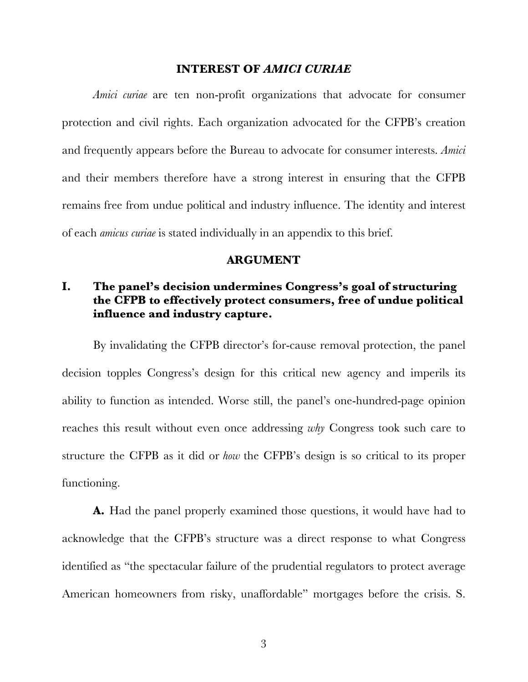#### **INTEREST OF** *AMICI CURIAE*

*Amici curiae* are ten non-profit organizations that advocate for consumer protection and civil rights. Each organization advocated for the CFPB's creation and frequently appears before the Bureau to advocate for consumer interests. *Amici*  and their members therefore have a strong interest in ensuring that the CFPB remains free from undue political and industry influence. The identity and interest of each *amicus curiae* is stated individually in an appendix to this brief.

#### **ARGUMENT**

# **I. The panel's decision undermines Congress's goal of structuring the CFPB to effectively protect consumers, free of undue political influence and industry capture.**

By invalidating the CFPB director's for-cause removal protection, the panel decision topples Congress's design for this critical new agency and imperils its ability to function as intended. Worse still, the panel's one-hundred-page opinion reaches this result without even once addressing *why* Congress took such care to structure the CFPB as it did or *how* the CFPB's design is so critical to its proper functioning.

**A.** Had the panel properly examined those questions, it would have had to acknowledge that the CFPB's structure was a direct response to what Congress identified as "the spectacular failure of the prudential regulators to protect average American homeowners from risky, unaffordable" mortgages before the crisis. S.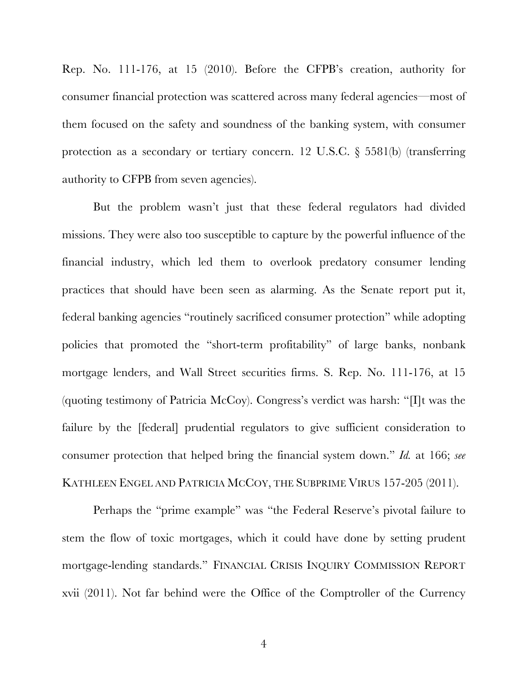Rep. No. 111-176, at 15 (2010). Before the CFPB's creation, authority for consumer financial protection was scattered across many federal agencies—most of them focused on the safety and soundness of the banking system, with consumer protection as a secondary or tertiary concern. 12 U.S.C. § 5581(b) (transferring authority to CFPB from seven agencies).

But the problem wasn't just that these federal regulators had divided missions. They were also too susceptible to capture by the powerful influence of the financial industry, which led them to overlook predatory consumer lending practices that should have been seen as alarming. As the Senate report put it, federal banking agencies "routinely sacrificed consumer protection" while adopting policies that promoted the "short-term profitability" of large banks, nonbank mortgage lenders, and Wall Street securities firms. S. Rep. No. 111-176, at 15 (quoting testimony of Patricia McCoy). Congress's verdict was harsh: "[I]t was the failure by the [federal] prudential regulators to give sufficient consideration to consumer protection that helped bring the financial system down." *Id.* at 166; *see*  KATHLEEN ENGEL AND PATRICIA MCCOY, THE SUBPRIME VIRUS 157-205 (2011).

Perhaps the "prime example" was "the Federal Reserve's pivotal failure to stem the flow of toxic mortgages, which it could have done by setting prudent mortgage-lending standards." FINANCIAL CRISIS INQUIRY COMMISSION REPORT xvii (2011). Not far behind were the Office of the Comptroller of the Currency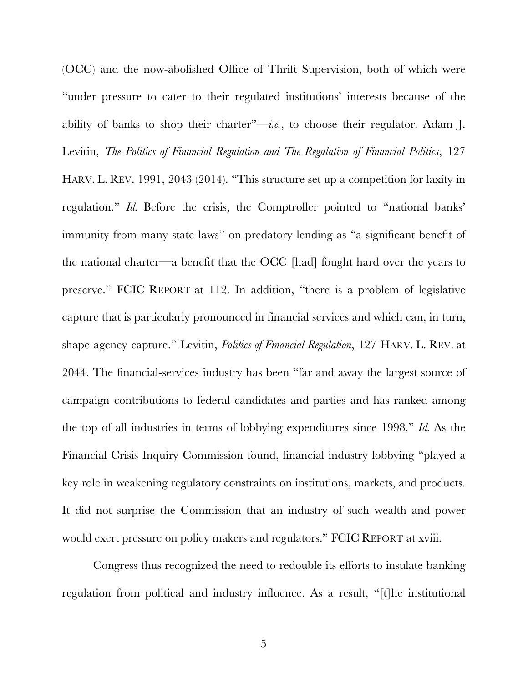(OCC) and the now-abolished Office of Thrift Supervision, both of which were "under pressure to cater to their regulated institutions' interests because of the ability of banks to shop their charter"—*i.e.*, to choose their regulator. Adam J. Levitin, *The Politics of Financial Regulation and The Regulation of Financial Politics*, 127 HARV. L. REV. 1991, 2043 (2014). "This structure set up a competition for laxity in regulation." *Id.* Before the crisis, the Comptroller pointed to "national banks' immunity from many state laws" on predatory lending as "a significant benefit of the national charter—a benefit that the OCC [had] fought hard over the years to preserve." FCIC REPORT at 112. In addition, "there is a problem of legislative capture that is particularly pronounced in financial services and which can, in turn, shape agency capture." Levitin, *Politics of Financial Regulation*, 127 HARV. L. REV. at 2044. The financial-services industry has been "far and away the largest source of campaign contributions to federal candidates and parties and has ranked among the top of all industries in terms of lobbying expenditures since 1998." *Id.* As the Financial Crisis Inquiry Commission found, financial industry lobbying "played a key role in weakening regulatory constraints on institutions, markets, and products. It did not surprise the Commission that an industry of such wealth and power would exert pressure on policy makers and regulators." FCIC REPORT at xviii.

Congress thus recognized the need to redouble its efforts to insulate banking regulation from political and industry influence. As a result, "[t]he institutional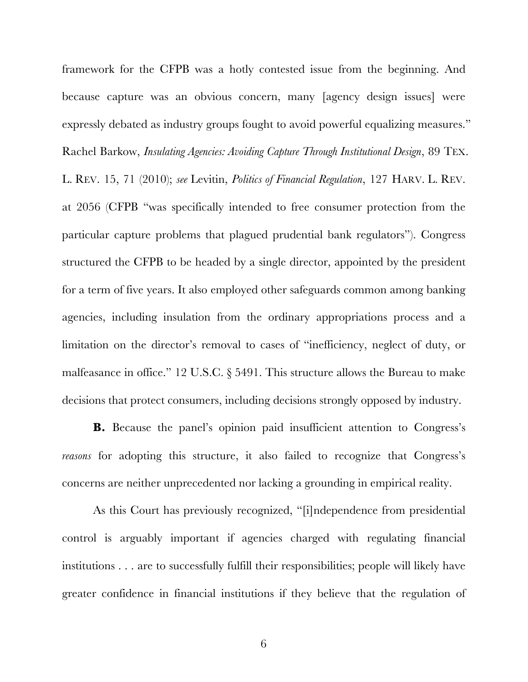framework for the CFPB was a hotly contested issue from the beginning. And because capture was an obvious concern, many [agency design issues] were expressly debated as industry groups fought to avoid powerful equalizing measures." Rachel Barkow, *Insulating Agencies: Avoiding Capture Through Institutional Design*, 89 TEX. L. REV. 15, 71 (2010); *see* Levitin, *Politics of Financial Regulation*, 127 HARV. L. REV. at 2056 (CFPB "was specifically intended to free consumer protection from the particular capture problems that plagued prudential bank regulators"). Congress structured the CFPB to be headed by a single director, appointed by the president for a term of five years. It also employed other safeguards common among banking agencies, including insulation from the ordinary appropriations process and a limitation on the director's removal to cases of "inefficiency, neglect of duty, or malfeasance in office." 12 U.S.C. § 5491. This structure allows the Bureau to make decisions that protect consumers, including decisions strongly opposed by industry.

**B.** Because the panel's opinion paid insufficient attention to Congress's *reasons* for adopting this structure, it also failed to recognize that Congress's concerns are neither unprecedented nor lacking a grounding in empirical reality.

As this Court has previously recognized, "[i]ndependence from presidential control is arguably important if agencies charged with regulating financial institutions . . . are to successfully fulfill their responsibilities; people will likely have greater confidence in financial institutions if they believe that the regulation of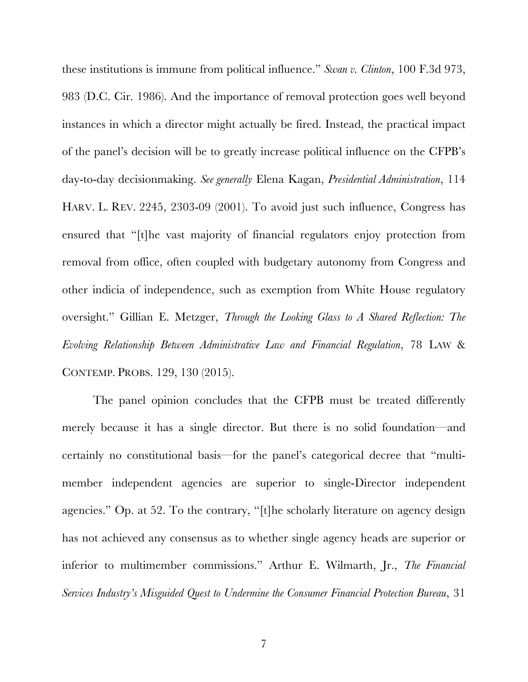these institutions is immune from political influence." *Swan v. Clinton*, 100 F.3d 973, 983 (D.C. Cir. 1986). And the importance of removal protection goes well beyond instances in which a director might actually be fired. Instead, the practical impact of the panel's decision will be to greatly increase political influence on the CFPB's day-to-day decisionmaking. *See generally* Elena Kagan, *Presidential Administration*, 114 HARV. L. REV. 2245, 2303-09 (2001). To avoid just such influence, Congress has ensured that "[t]he vast majority of financial regulators enjoy protection from removal from office, often coupled with budgetary autonomy from Congress and other indicia of independence, such as exemption from White House regulatory oversight." Gillian E. Metzger, *Through the Looking Glass to A Shared Reflection: The Evolving Relationship Between Administrative Law and Financial Regulation*, 78 LAW & CONTEMP. PROBS. 129, 130 (2015).

The panel opinion concludes that the CFPB must be treated differently merely because it has a single director. But there is no solid foundation—and certainly no constitutional basis—for the panel's categorical decree that "multimember independent agencies are superior to single-Director independent agencies." Op. at 52. To the contrary, "[t]he scholarly literature on agency design has not achieved any consensus as to whether single agency heads are superior or inferior to multimember commissions." Arthur E. Wilmarth, Jr., *The Financial Services Industry's Misguided Quest to Undermine the Consumer Financial Protection Bureau*, 31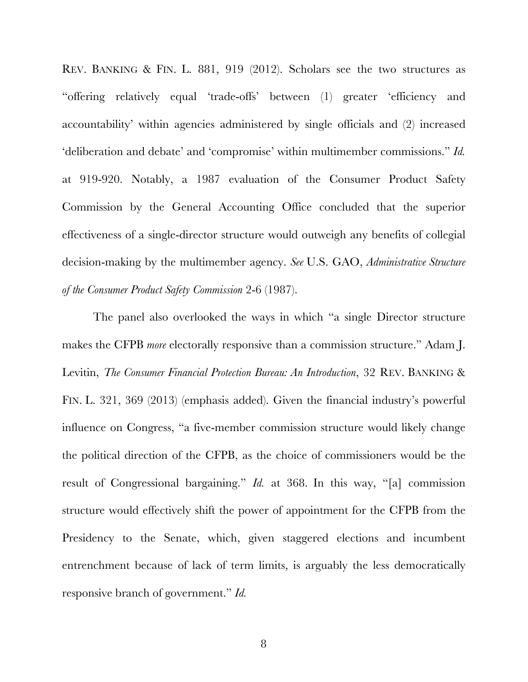REV. BANKING & FIN. L. 881, 919 (2012). Scholars see the two structures as "offering relatively equal 'trade-offs' between (1) greater 'efficiency and accountability' within agencies administered by single officials and (2) increased 'deliberation and debate' and 'compromise' within multimember commissions." *Id.* at 919-920. Notably, a 1987 evaluation of the Consumer Product Safety Commission by the General Accounting Office concluded that the superior effectiveness of a single-director structure would outweigh any benefits of collegial decision-making by the multimember agency. *See* U.S. GAO, *Administrative Structure of the Consumer Product Safety Commission* 2-6 (1987).

The panel also overlooked the ways in which "a single Director structure makes the CFPB *more* electorally responsive than a commission structure." Adam J. Levitin, *The Consumer Financial Protection Bureau: An Introduction*, 32 REV. BANKING & FIN. L. 321, 369 (2013) (emphasis added). Given the financial industry's powerful influence on Congress, "a five-member commission structure would likely change the political direction of the CFPB, as the choice of commissioners would be the result of Congressional bargaining." *Id.* at 368. In this way, "[a] commission structure would effectively shift the power of appointment for the CFPB from the Presidency to the Senate, which, given staggered elections and incumbent entrenchment because of lack of term limits, is arguably the less democratically responsive branch of government." *Id.*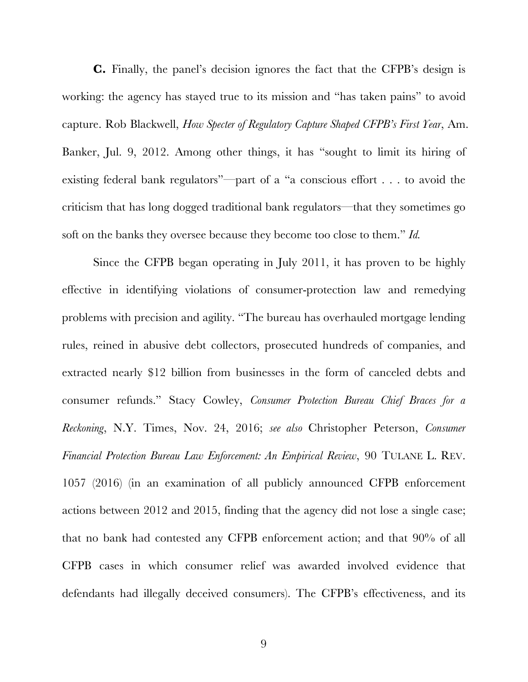**C.** Finally, the panel's decision ignores the fact that the CFPB's design is working: the agency has stayed true to its mission and "has taken pains" to avoid capture. Rob Blackwell, *How Specter of Regulatory Capture Shaped CFPB's First Year*, Am. Banker, Jul. 9, 2012. Among other things, it has "sought to limit its hiring of existing federal bank regulators"—part of a "a conscious effort . . . to avoid the criticism that has long dogged traditional bank regulators—that they sometimes go soft on the banks they oversee because they become too close to them." *Id.*

Since the CFPB began operating in July 2011, it has proven to be highly effective in identifying violations of consumer-protection law and remedying problems with precision and agility. "The bureau has overhauled mortgage lending rules, reined in abusive debt collectors, prosecuted hundreds of companies, and extracted nearly \$12 billion from businesses in the form of canceled debts and consumer refunds." Stacy Cowley, *Consumer Protection Bureau Chief Braces for a Reckoning*, N.Y. Times, Nov. 24, 2016; *see also* Christopher Peterson, *Consumer Financial Protection Bureau Law Enforcement: An Empirical Review*, 90 TULANE L. REV. 1057 (2016) (in an examination of all publicly announced CFPB enforcement actions between 2012 and 2015, finding that the agency did not lose a single case; that no bank had contested any CFPB enforcement action; and that 90% of all CFPB cases in which consumer relief was awarded involved evidence that defendants had illegally deceived consumers). The CFPB's effectiveness, and its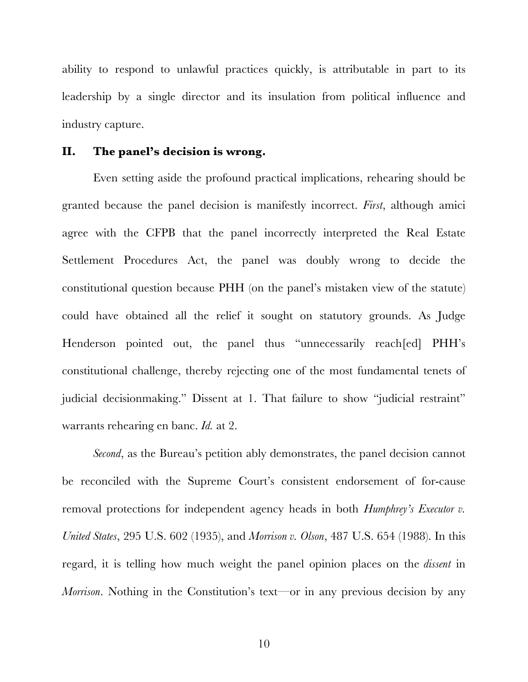ability to respond to unlawful practices quickly, is attributable in part to its leadership by a single director and its insulation from political influence and industry capture.

### **II. The panel's decision is wrong.**

Even setting aside the profound practical implications, rehearing should be granted because the panel decision is manifestly incorrect. *First*, although amici agree with the CFPB that the panel incorrectly interpreted the Real Estate Settlement Procedures Act, the panel was doubly wrong to decide the constitutional question because PHH (on the panel's mistaken view of the statute) could have obtained all the relief it sought on statutory grounds. As Judge Henderson pointed out, the panel thus "unnecessarily reach[ed] PHH's constitutional challenge, thereby rejecting one of the most fundamental tenets of judicial decisionmaking." Dissent at 1. That failure to show "judicial restraint" warrants rehearing en banc. *Id.* at 2.

*Second*, as the Bureau's petition ably demonstrates, the panel decision cannot be reconciled with the Supreme Court's consistent endorsement of for-cause removal protections for independent agency heads in both *Humphrey's Executor v. United States*, 295 U.S. 602 (1935), and *Morrison v. Olson*, 487 U.S. 654 (1988). In this regard, it is telling how much weight the panel opinion places on the *dissent* in *Morrison*. Nothing in the Constitution's text—or in any previous decision by any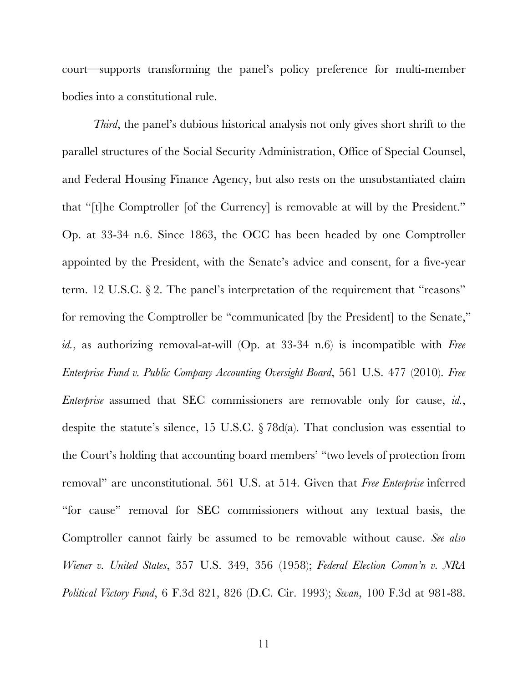court—supports transforming the panel's policy preference for multi-member bodies into a constitutional rule.

*Third*, the panel's dubious historical analysis not only gives short shrift to the parallel structures of the Social Security Administration, Office of Special Counsel, and Federal Housing Finance Agency, but also rests on the unsubstantiated claim that "[t]he Comptroller [of the Currency] is removable at will by the President." Op. at 33-34 n.6. Since 1863, the OCC has been headed by one Comptroller appointed by the President, with the Senate's advice and consent, for a five-year term. 12 U.S.C. § 2. The panel's interpretation of the requirement that "reasons" for removing the Comptroller be "communicated [by the President] to the Senate," *id.*, as authorizing removal-at-will (Op. at 33-34 n.6) is incompatible with *Free Enterprise Fund v. Public Company Accounting Oversight Board*, 561 U.S. 477 (2010). *Free Enterprise* assumed that SEC commissioners are removable only for cause, *id.*, despite the statute's silence, 15 U.S.C.  $\S 78d(a)$ . That conclusion was essential to the Court's holding that accounting board members' "two levels of protection from removal" are unconstitutional. 561 U.S. at 514. Given that *Free Enterprise* inferred "for cause" removal for SEC commissioners without any textual basis, the Comptroller cannot fairly be assumed to be removable without cause. *See also Wiener v. United States*, 357 U.S. 349, 356 (1958); *Federal Election Comm'n v. NRA Political Victory Fund*, 6 F.3d 821, 826 (D.C. Cir. 1993); *Swan*, 100 F.3d at 981-88.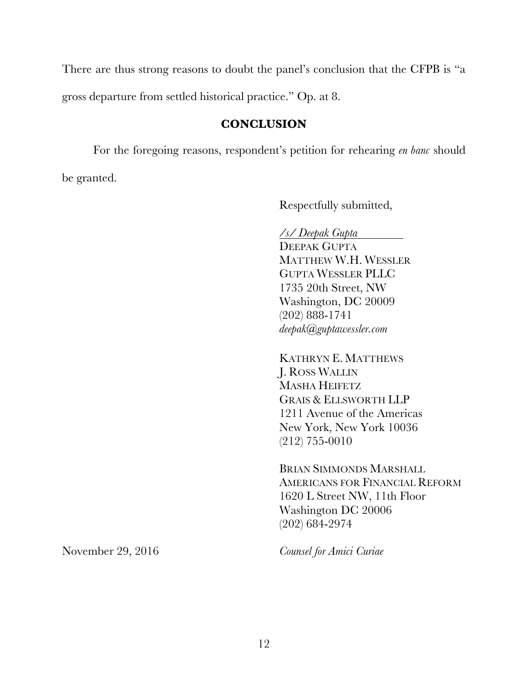There are thus strong reasons to doubt the panel's conclusion that the CFPB is "a gross departure from settled historical practice." Op. at 8.

## **CONCLUSION**

For the foregoing reasons, respondent's petition for rehearing *en banc* should be granted.

Respectfully submitted,

*/s/ Deepak Gupta*

DEEPAK GUPTA MATTHEW W.H. WESSLER GUPTA WESSLER PLLC 1735 20th Street, NW Washington, DC 20009 (202) 888-1741 *deepak@guptawessler.com*

KATHRYN E. MATTHEWS J. ROSS WALLIN MASHA HEIFETZ GRAIS & ELLSWORTH LLP 1211 Avenue of the Americas New York, New York 10036 (212) 755-0010

BRIAN SIMMONDS MARSHALL AMERICANS FOR FINANCIAL REFORM 1620 L Street NW, 11th Floor Washington DC 20006 (202) 684-2974

November 29, 2016 *Counsel for Amici Curiae*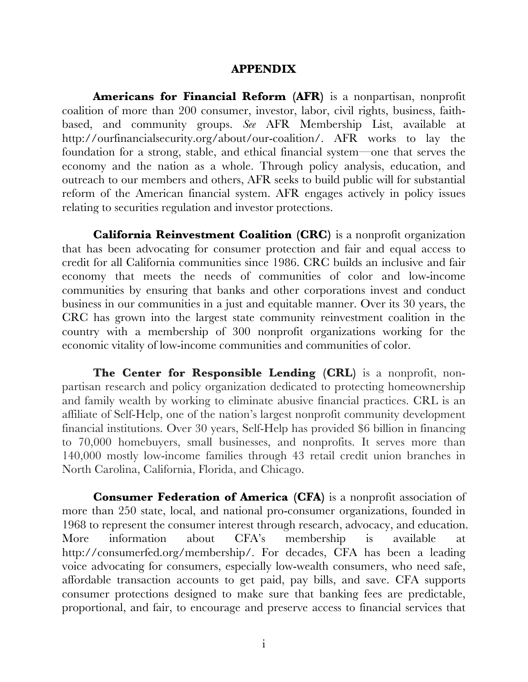#### **APPENDIX**

**Americans for Financial Reform (AFR)** is a nonpartisan, nonprofit coalition of more than 200 consumer, investor, labor, civil rights, business, faithbased, and community groups. *See* AFR Membership List, available at http://ourfinancialsecurity.org/about/our-coalition/. AFR works to lay the foundation for a strong, stable, and ethical financial system—one that serves the economy and the nation as a whole. Through policy analysis, education, and outreach to our members and others, AFR seeks to build public will for substantial reform of the American financial system. AFR engages actively in policy issues relating to securities regulation and investor protections.

**California Reinvestment Coalition (CRC)** is a nonprofit organization that has been advocating for consumer protection and fair and equal access to credit for all California communities since 1986. CRC builds an inclusive and fair economy that meets the needs of communities of color and low-income communities by ensuring that banks and other corporations invest and conduct business in our communities in a just and equitable manner. Over its 30 years, the CRC has grown into the largest state community reinvestment coalition in the country with a membership of 300 nonprofit organizations working for the economic vitality of low-income communities and communities of color.

**The Center for Responsible Lending (CRL)** is a nonprofit, nonpartisan research and policy organization dedicated to protecting homeownership and family wealth by working to eliminate abusive financial practices. CRL is an affiliate of Self-Help, one of the nation's largest nonprofit community development financial institutions. Over 30 years, Self-Help has provided \$6 billion in financing to 70,000 homebuyers, small businesses, and nonprofits. It serves more than 140,000 mostly low-income families through 43 retail credit union branches in North Carolina, California, Florida, and Chicago.

**Consumer Federation of America (CFA)** is a nonprofit association of more than 250 state, local, and national pro-consumer organizations, founded in 1968 to represent the consumer interest through research, advocacy, and education. More information about CFA's membership is available at http://consumerfed.org/membership/. For decades, CFA has been a leading voice advocating for consumers, especially low-wealth consumers, who need safe, affordable transaction accounts to get paid, pay bills, and save. CFA supports consumer protections designed to make sure that banking fees are predictable, proportional, and fair, to encourage and preserve access to financial services that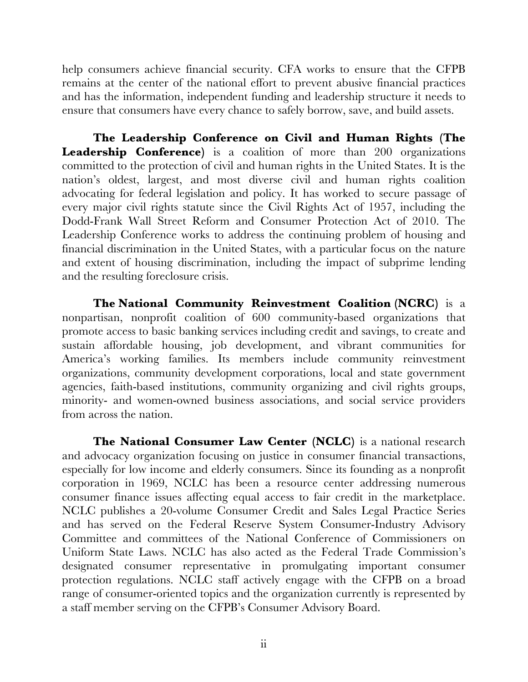help consumers achieve financial security. CFA works to ensure that the CFPB remains at the center of the national effort to prevent abusive financial practices and has the information, independent funding and leadership structure it needs to ensure that consumers have every chance to safely borrow, save, and build assets.

**The Leadership Conference on Civil and Human Rights (The Leadership Conference)** is a coalition of more than 200 organizations committed to the protection of civil and human rights in the United States. It is the nation's oldest, largest, and most diverse civil and human rights coalition advocating for federal legislation and policy. It has worked to secure passage of every major civil rights statute since the Civil Rights Act of 1957, including the Dodd-Frank Wall Street Reform and Consumer Protection Act of 2010. The Leadership Conference works to address the continuing problem of housing and financial discrimination in the United States, with a particular focus on the nature and extent of housing discrimination, including the impact of subprime lending and the resulting foreclosure crisis.

**The National Community Reinvestment Coalition (NCRC)** is a nonpartisan, nonprofit coalition of 600 community-based organizations that promote access to basic banking services including credit and savings, to create and sustain affordable housing, job development, and vibrant communities for America's working families. Its members include community reinvestment organizations, community development corporations, local and state government agencies, faith-based institutions, community organizing and civil rights groups, minority- and women-owned business associations, and social service providers from across the nation.

**The National Consumer Law Center (NCLC)** is a national research and advocacy organization focusing on justice in consumer financial transactions, especially for low income and elderly consumers. Since its founding as a nonprofit corporation in 1969, NCLC has been a resource center addressing numerous consumer finance issues affecting equal access to fair credit in the marketplace. NCLC publishes a 20-volume Consumer Credit and Sales Legal Practice Series and has served on the Federal Reserve System Consumer-Industry Advisory Committee and committees of the National Conference of Commissioners on Uniform State Laws. NCLC has also acted as the Federal Trade Commission's designated consumer representative in promulgating important consumer protection regulations. NCLC staff actively engage with the CFPB on a broad range of consumer-oriented topics and the organization currently is represented by a staff member serving on the CFPB's Consumer Advisory Board.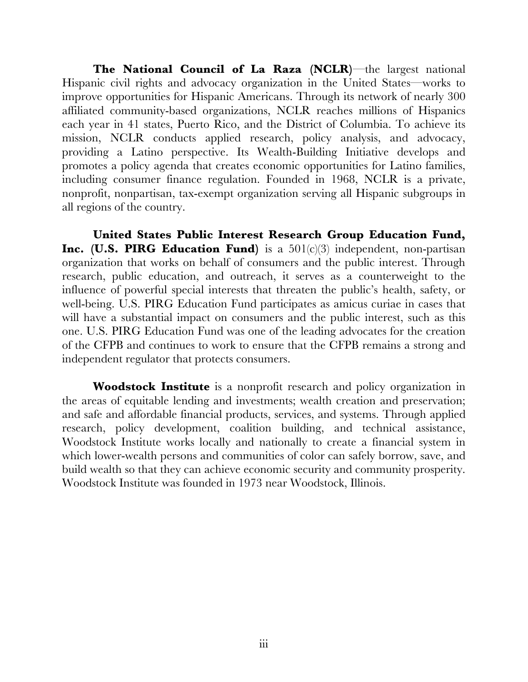**The National Council of La Raza (NCLR)**—the largest national Hispanic civil rights and advocacy organization in the United States—works to improve opportunities for Hispanic Americans. Through its network of nearly 300 affiliated community-based organizations, NCLR reaches millions of Hispanics each year in 41 states, Puerto Rico, and the District of Columbia. To achieve its mission, NCLR conducts applied research, policy analysis, and advocacy, providing a Latino perspective. Its Wealth-Building Initiative develops and promotes a policy agenda that creates economic opportunities for Latino families, including consumer finance regulation. Founded in 1968, NCLR is a private, nonprofit, nonpartisan, tax-exempt organization serving all Hispanic subgroups in all regions of the country.

**United States Public Interest Research Group Education Fund, Inc. (U.S. PIRG Education Fund)** is a 501(c)(3) independent, non-partisan organization that works on behalf of consumers and the public interest. Through research, public education, and outreach, it serves as a counterweight to the influence of powerful special interests that threaten the public's health, safety, or well-being. U.S. PIRG Education Fund participates as amicus curiae in cases that will have a substantial impact on consumers and the public interest, such as this one. U.S. PIRG Education Fund was one of the leading advocates for the creation of the CFPB and continues to work to ensure that the CFPB remains a strong and independent regulator that protects consumers.

**Woodstock Institute** is a nonprofit research and policy organization in the areas of equitable lending and investments; wealth creation and preservation; and safe and affordable financial products, services, and systems. Through applied research, policy development, coalition building, and technical assistance, Woodstock Institute works locally and nationally to create a financial system in which lower-wealth persons and communities of color can safely borrow, save, and build wealth so that they can achieve economic security and community prosperity. Woodstock Institute was founded in 1973 near Woodstock, Illinois.